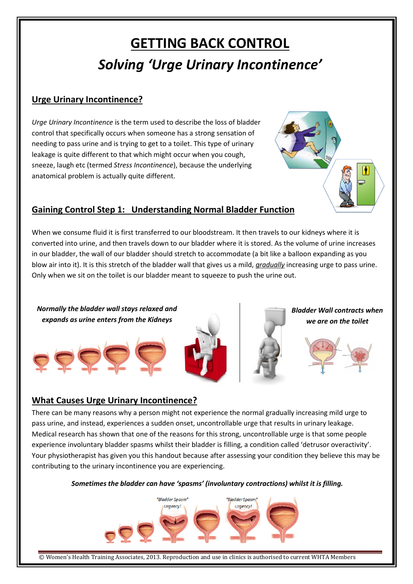# GETTING BACK CONTROL Solving 'Urge Urinary Incontinence'

### Urge Urinary Incontinence?

Urge Urinary Incontinence is the term used to describe the loss of bladder control that specifically occurs when someone has a strong sensation of needing to pass urine and is trying to get to a toilet. This type of urinary leakage is quite different to that which might occur when you cough, sneeze, laugh etc (termed Stress Incontinence), because the underlying anatomical problem is actually quite different.

## Gaining Control Step 1: Understanding Normal Bladder Function

When we consume fluid it is first transferred to our bloodstream. It then travels to our kidneys where it is converted into urine, and then travels down to our bladder where it is stored. As the volume of urine increases in our bladder, the wall of our bladder should stretch to accommodate (a bit like a balloon expanding as you blow air into it). It is this stretch of the bladder wall that gives us a mild, *gradually* increasing urge to pass urine. Only when we sit on the toilet is our bladder meant to squeeze to push the urine out.



### What Causes Urge Urinary Incontinence?

There can be many reasons why a person might not experience the normal gradually increasing mild urge to pass urine, and instead, experiences a sudden onset, uncontrollable urge that results in urinary leakage. Medical research has shown that one of the reasons for this strong, uncontrollable urge is that some people experience involuntary bladder spasms whilst their bladder is filling, a condition called 'detrusor overactivity'. Your physiotherapist has given you this handout because after assessing your condition they believe this may be contributing to the urinary incontinence you are experiencing.

#### Sometimes the bladder can have 'spasms' (involuntary contractions) whilst it is filling.



© Women's Health Training Associates, 2013. Reproduction and use in clinics is authorised to current WHTA Members